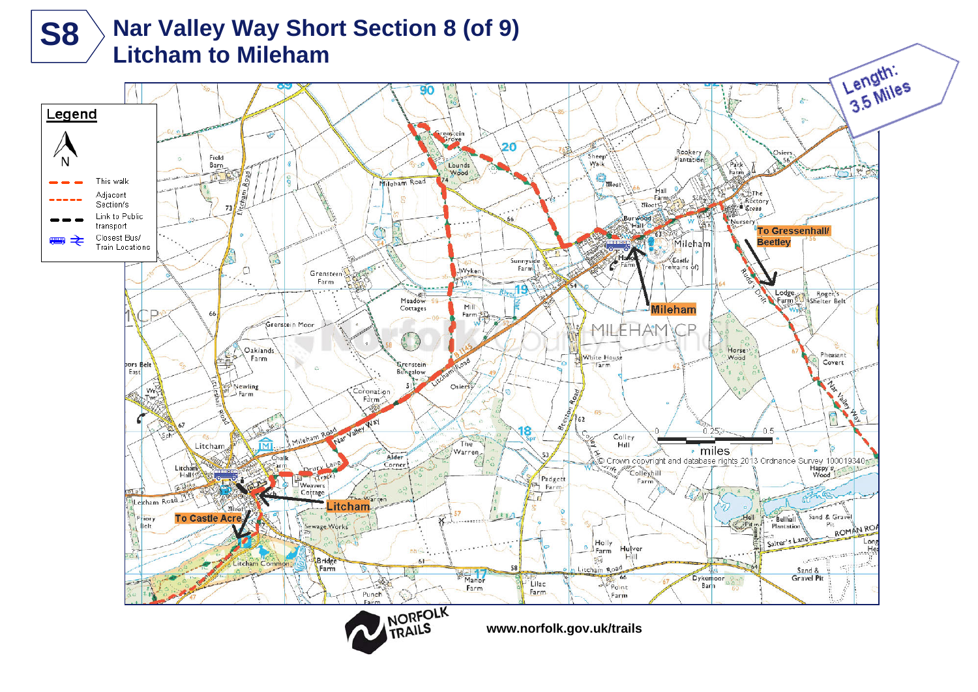